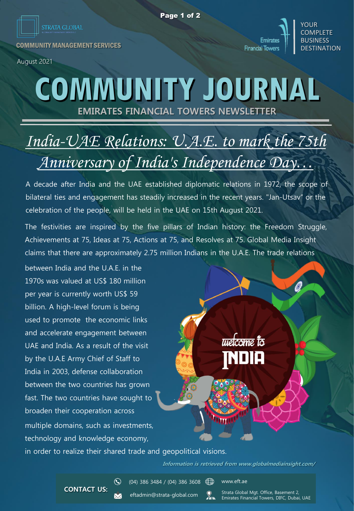YOUR **COMPLETE** BUSINESS **DESTINATION** 

**Emirates Financial Towers** 

COMMUNITY MANAGEMENT SERVICES

August 2021

## **EMIRATES FINANCIAL TOWERS NEWSLETTER COMMUNITY JOURNAL**

## *India-UAE Relations: U.A.E. to mark the 75th Anniversary of India's Independence Day…*

A decade after India and the UAE established diplomatic relations in 1972, the scope of bilateral ties and engagement has steadily increased in the recent years. "Jan-Utsav" or the celebration of the people, will be held in the UAE on 15th August 2021.

The festivities are inspired by the five pillars of Indian history: the Freedom Struggle, Achievements at 75, Ideas at 75, Actions at 75, and Resolves at 75. Global Media Insight claims that there are approximately 2.75 million Indians in the U.A.E. The trade relations

multiple domains, such as investments, technology and knowledge economy, between India and the U.A.E. in the 1970s was valued at US\$ 180 million per year is currently worth US\$ 59 billion. A high-level forum is being used to promote the economic links and accelerate engagement between UAE and India. As a result of the visit by the U.A.E Army Chief of Staff to India in 2003, defense collaboration between the two countries has grown fast. The two countries have sought to broaden their cooperation across

in order to realize their shared trade and geopolitical visions.

**Information is retrieved from www.globalmediainsight.com/**

welcome to

**CONTACT US:**

 $\odot$ 

 $(04)$  386 3484 /  $(04)$  386 3608

eftadmin@strata-global.com  $\frac{1}{2}$  www.eft.ae

Strata Global Mgt. Office, Basement 2, Emirates Financial Towers, DIFC, Dubai, UAE